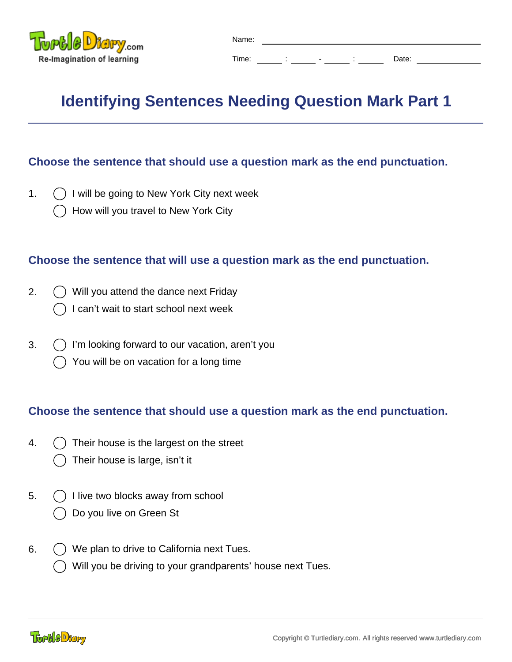

## **Identifying Sentences Needing Question Mark Part 1**

## **Choose the sentence that should use a question mark as the end punctuation.**

- 1.  $\bigcap$  I will be going to New York City next week
	- How will you travel to New York City

## **Choose the sentence that will use a question mark as the end punctuation.**

- 2. Will you attend the dance next Friday
	- I can't wait to start school next week
- $3.$   $\bigcap$  I'm looking forward to our vacation, aren't you
	- You will be on vacation for a long time

## **Choose the sentence that should use a question mark as the end punctuation.**

- 4.  $\bigcirc$  Their house is the largest on the street
	- Their house is large, isn't it
- 5.  $\left( \right)$  I live two blocks away from school Do you live on Green St
- 6.  $\bigcirc$  We plan to drive to California next Tues.
	- Will you be driving to your grandparents' house next Tues.